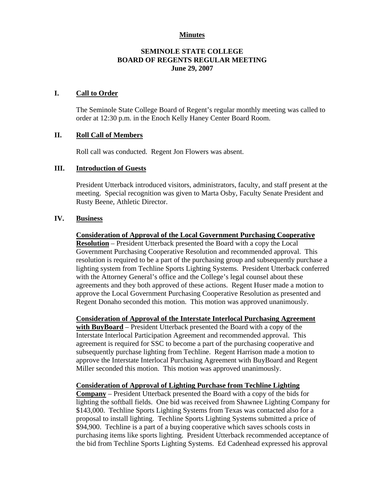## **Minutes**

## **SEMINOLE STATE COLLEGE BOARD OF REGENTS REGULAR MEETING June 29, 2007**

## **I. Call to Order**

The Seminole State College Board of Regent's regular monthly meeting was called to order at 12:30 p.m. in the Enoch Kelly Haney Center Board Room.

### **II. Roll Call of Members**

Roll call was conducted. Regent Jon Flowers was absent.

## **III. Introduction of Guests**

President Utterback introduced visitors, administrators, faculty, and staff present at the meeting. Special recognition was given to Marta Osby, Faculty Senate President and Rusty Beene, Athletic Director.

#### **IV. Business**

#### **Consideration of Approval of the Local Government Purchasing Cooperative**

**Resolution** – President Utterback presented the Board with a copy the Local Government Purchasing Cooperative Resolution and recommended approval. This resolution is required to be a part of the purchasing group and subsequently purchase a lighting system from Techline Sports Lighting Systems. President Utterback conferred with the Attorney General's office and the College's legal counsel about these agreements and they both approved of these actions. Regent Huser made a motion to approve the Local Government Purchasing Cooperative Resolution as presented and Regent Donaho seconded this motion. This motion was approved unanimously.

**Consideration of Approval of the Interstate Interlocal Purchasing Agreement with BuyBoard** – President Utterback presented the Board with a copy of the Interstate Interlocal Participation Agreement and recommended approval. This agreement is required for SSC to become a part of the purchasing cooperative and subsequently purchase lighting from Techline. Regent Harrison made a motion to approve the Interstate Interlocal Purchasing Agreement with BuyBoard and Regent Miller seconded this motion. This motion was approved unanimously.

#### **Consideration of Approval of Lighting Purchase from Techline Lighting**

**Company** – President Utterback presented the Board with a copy of the bids for lighting the softball fields. One bid was received from Shawnee Lighting Company for \$143,000. Techline Sports Lighting Systems from Texas was contacted also for a proposal to install lighting. Techline Sports Lighting Systems submitted a price of \$94,900. Techline is a part of a buying cooperative which saves schools costs in purchasing items like sports lighting. President Utterback recommended acceptance of the bid from Techline Sports Lighting Systems. Ed Cadenhead expressed his approval